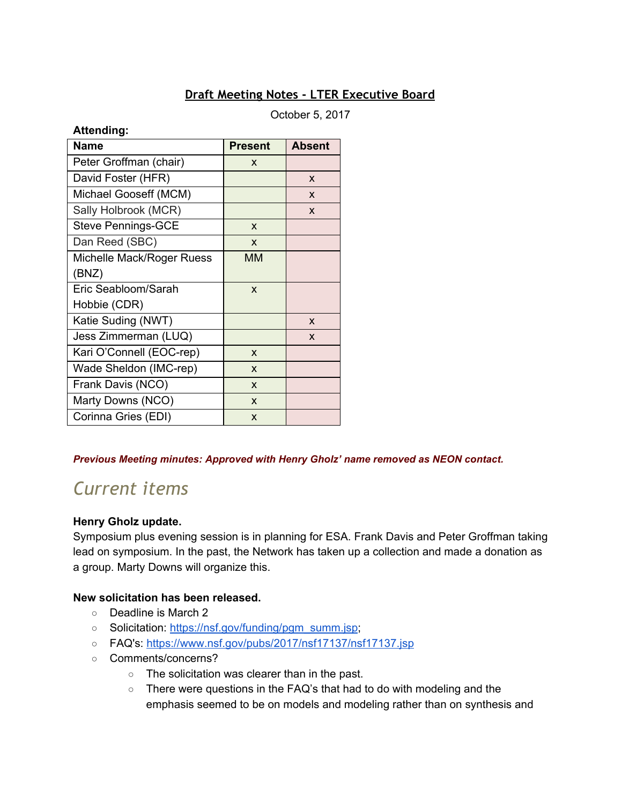# **Draft Meeting Notes - LTER Executive Board**

October 5, 2017

| <b>Attending:</b> |  |
|-------------------|--|
|                   |  |

| <b>Name</b>               | <b>Present</b> | <b>Absent</b> |
|---------------------------|----------------|---------------|
| Peter Groffman (chair)    | X              |               |
| David Foster (HFR)        |                | X             |
| Michael Gooseff (MCM)     |                | X             |
| Sally Holbrook (MCR)      |                | X             |
| <b>Steve Pennings-GCE</b> | X              |               |
| Dan Reed (SBC)            | X              |               |
| Michelle Mack/Roger Ruess | ΜМ             |               |
| (BNZ)                     |                |               |
| Eric Seabloom/Sarah       | X              |               |
| Hobbie (CDR)              |                |               |
| Katie Suding (NWT)        |                | X             |
| Jess Zimmerman (LUQ)      |                | X             |
| Kari O'Connell (EOC-rep)  | X              |               |
| Wade Sheldon (IMC-rep)    | X              |               |
| Frank Davis (NCO)         | X              |               |
| Marty Downs (NCO)         | X              |               |
| Corinna Gries (EDI)       | X              |               |

#### *Previous Meeting minutes: Approved with Henry Gholz' name removed as NEON contact.*

# *Current items*

#### **Henry Gholz update.**

Symposium plus evening session is in planning for ESA. Frank Davis and Peter Groffman taking lead on symposium. In the past, the Network has taken up a collection and made a donation as a group. Marty Downs will organize this.

#### **New solicitation has been released.**

- Deadline is March 2
- Solicitation: [https://nsf.gov/funding/pgm\\_summ.jsp](https://nsf.gov/funding/pgm_summ.jsp);
- FAQ's: <https://www.nsf.gov/pubs/2017/nsf17137/nsf17137.jsp>
- Comments/concerns?
	- The solicitation was clearer than in the past.
	- There were questions in the FAQ's that had to do with modeling and the emphasis seemed to be on models and modeling rather than on synthesis and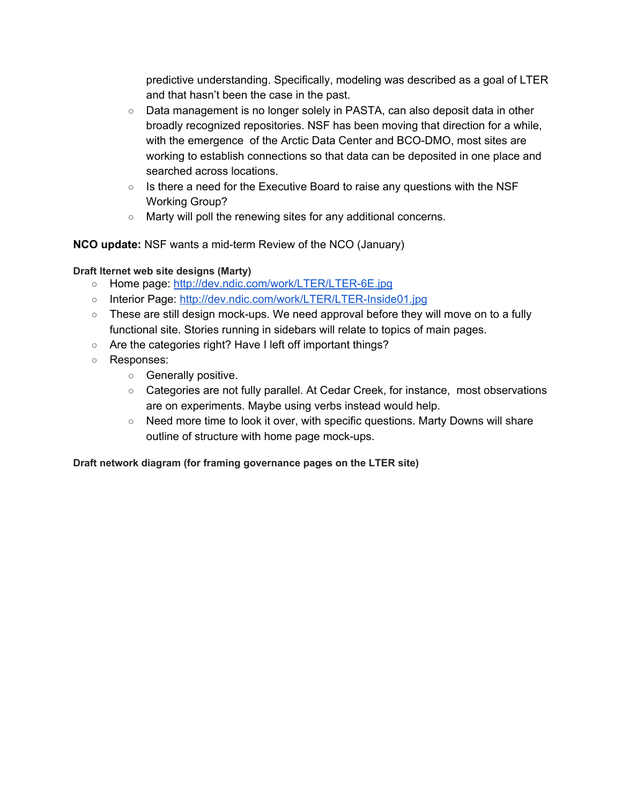predictive understanding. Specifically, modeling was described as a goal of LTER and that hasn't been the case in the past.

- Data management is no longer solely in PASTA, can also deposit data in other broadly recognized repositories. NSF has been moving that direction for a while, with the emergence of the Arctic Data Center and BCO-DMO, most sites are working to establish connections so that data can be deposited in one place and searched across locations.
- $\circ$  Is there a need for the Executive Board to raise any questions with the NSF Working Group?
- Marty will poll the renewing sites for any additional concerns.

**NCO update:** NSF wants a mid-term Review of the NCO (January)

## **Draft lternet web site designs (Marty)**

- Home page: <http://dev.ndic.com/work/LTER/LTER-6E.jpg>
- Interior Page: <http://dev.ndic.com/work/LTER/LTER-Inside01.jpg>
- $\circ$  These are still design mock-ups. We need approval before they will move on to a fully functional site. Stories running in sidebars will relate to topics of main pages.
- Are the categories right? Have I left off important things?
- Responses:
	- Generally positive.
	- Categories are not fully parallel. At Cedar Creek, for instance, most observations are on experiments. Maybe using verbs instead would help.
	- Need more time to look it over, with specific questions. Marty Downs will share outline of structure with home page mock-ups.

**Draft network diagram (for framing governance pages on the LTER site)**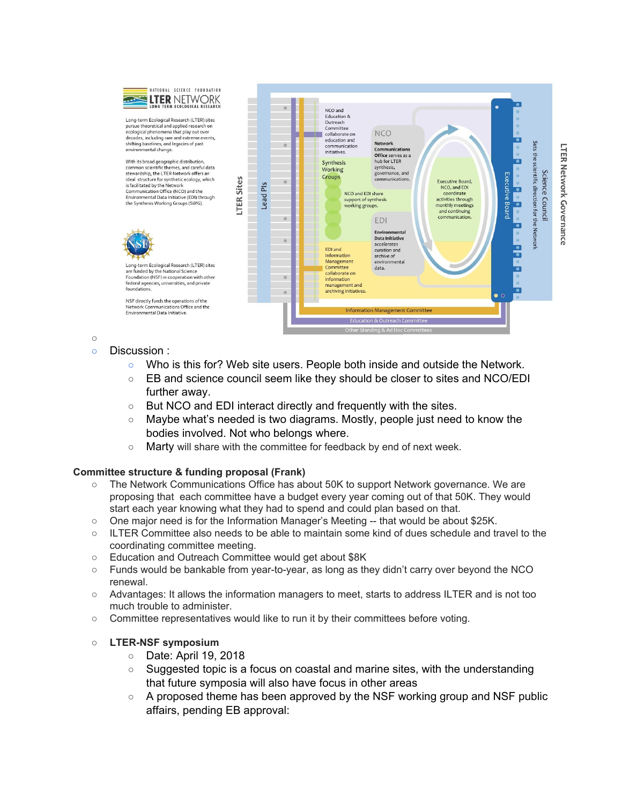

Long-term Ecological Research (LTER) sites<br>pursue theoretical and applied research on<br>ecological phenomena that play out over decades, including rare and extreme events. shifting baselines, and legacies of past environmental change.

With its broad geographic distribution common scientific themes, and careful data common scientific therms, and carendo state of the state of the state of the state ideal structure for synthetic ecology, which is facilitated by the Network Communication Office (NCO) and the Environmental Data Initiative (EDI) through the Synthesis Working Groups (SWG).

NSF directly funds the operations of the

Environmental Data Initiative



 $\circ$ 

○ Discussion :

foundations

- Who is this for? Web site users. People both inside and outside the Network.
- EB and science council seem like they should be closer to sites and NCO/EDI further away.
- But NCO and EDI interact directly and frequently with the sites.
- Maybe what's needed is two diagrams. Mostly, people just need to know the bodies involved. Not who belongs where.
- Marty will share with the committee for feedback by end of next week.

# **Committee structure & funding proposal (Frank)**

- The Network Communications Office has about 50K to support Network governance. We are proposing that each committee have a budget every year coming out of that 50K. They would start each year knowing what they had to spend and could plan based on that.
- $\circ$  One major need is for the Information Manager's Meeting -- that would be about \$25K.
- $\circ$  ILTER Committee also needs to be able to maintain some kind of dues schedule and travel to the coordinating committee meeting.
- Education and Outreach Committee would get about \$8K
- Funds would be bankable from year-to-year, as long as they didn't carry over beyond the NCO renewal.
- Advantages: It allows the information managers to meet, starts to address ILTER and is not too much trouble to administer.
- Committee representatives would like to run it by their committees before voting.

#### **○ LTER-NSF symposium**

- Date: April 19, 2018
- Suggested topic is a focus on coastal and marine sites, with the understanding that future symposia will also have focus in other areas
- $\circ$  A proposed theme has been approved by the NSF working group and NSF public affairs, pending EB approval: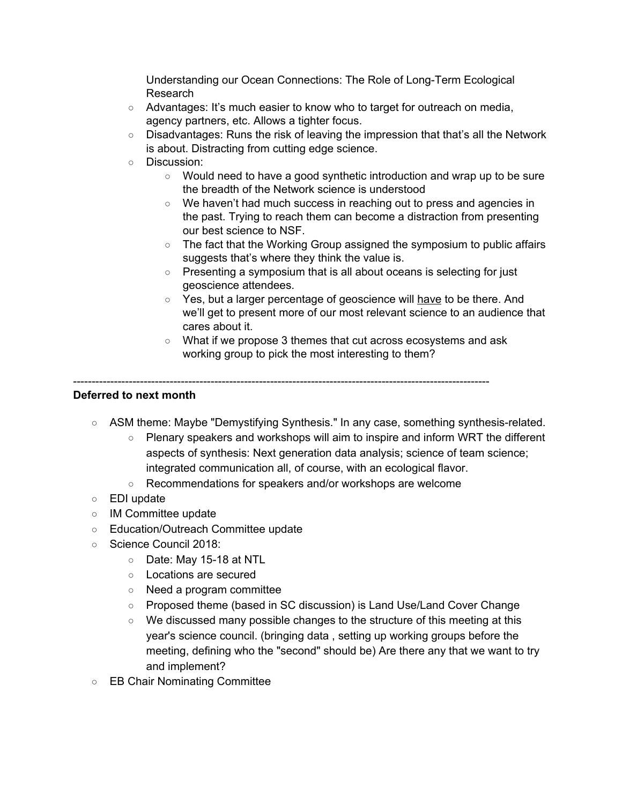Understanding our Ocean Connections: The Role of Long-Term Ecological Research

- Advantages: It's much easier to know who to target for outreach on media, agency partners, etc. Allows a tighter focus.
- Disadvantages: Runs the risk of leaving the impression that that's all the Network is about. Distracting from cutting edge science.
- Discussion:
	- Would need to have a good synthetic introduction and wrap up to be sure the breadth of the Network science is understood
	- We haven't had much success in reaching out to press and agencies in the past. Trying to reach them can become a distraction from presenting our best science to NSF.
	- The fact that the Working Group assigned the symposium to public affairs suggests that's where they think the value is.
	- Presenting a symposium that is all about oceans is selecting for just geoscience attendees.
	- Yes, but a larger percentage of geoscience will have to be there. And we'll get to present more of our most relevant science to an audience that cares about it.
	- What if we propose 3 themes that cut across ecosystems and ask working group to pick the most interesting to them?

### ----------------------------------------------------------------------------------------------------------------

# **Deferred to next month**

- ASM theme: Maybe "Demystifying Synthesis." In any case, something synthesis-related.
	- Plenary speakers and workshops will aim to inspire and inform WRT the different aspects of synthesis: Next generation data analysis; science of team science; integrated communication all, of course, with an ecological flavor.
	- Recommendations for speakers and/or workshops are welcome
- EDI update
- IM Committee update
- Education/Outreach Committee update
- Science Council 2018:
	- Date: May 15-18 at NTL
	- Locations are secured
	- Need a program committee
	- Proposed theme (based in SC discussion) is Land Use/Land Cover Change
	- We discussed many possible changes to the structure of this meeting at this year's science council. (bringing data , setting up working groups before the meeting, defining who the "second" should be) Are there any that we want to try and implement?
- EB Chair Nominating Committee